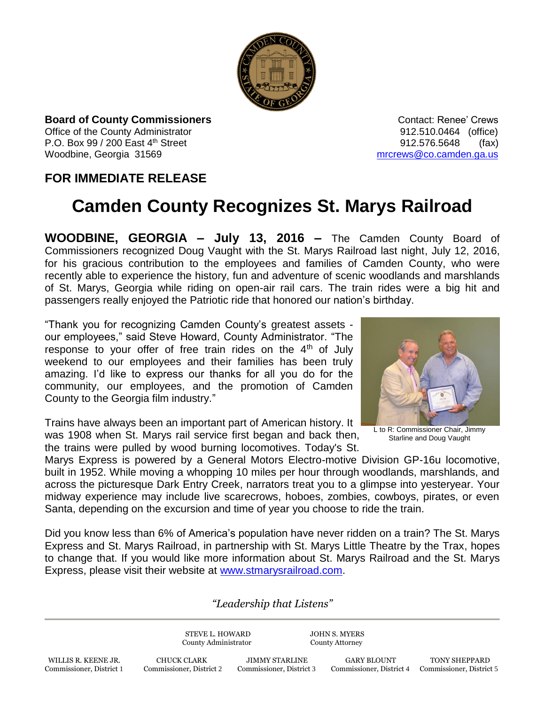

**Board of County Commissioners Contact: Renee' Crews Contact: Renee' Crews** Office of the County Administrator **Connect County Administrator 12.510.0464** (office) P.O. Box  $99 / 200$  East  $4<sup>th</sup>$  Street 912.576.5648 (fax) Woodbine, Georgia 31569 metal was also as a metal was made to meet the metal was made to metal was well as well as well as well as well as well as well as well as well as well as well as well as well as well as well as wel

## **FOR IMMEDIATE RELEASE**

## **Camden County Recognizes St. Marys Railroad**

**WOODBINE, GEORGIA – July 13, 2016 –** The Camden County Board of Commissioners recognized Doug Vaught with the St. Marys Railroad last night, July 12, 2016, for his gracious contribution to the employees and families of Camden County, who were recently able to experience the history, fun and adventure of scenic woodlands and marshlands of St. Marys, Georgia while riding on open-air rail cars. The train rides were a big hit and passengers really enjoyed the Patriotic ride that honored our nation's birthday.

"Thank you for recognizing Camden County's greatest assets our employees," said Steve Howard, County Administrator. "The response to your offer of free train rides on the  $4<sup>th</sup>$  of July weekend to our employees and their families has been truly amazing. I'd like to express our thanks for all you do for the community, our employees, and the promotion of Camden County to the Georgia film industry."

Trains have always been an important part of American history. It was 1908 when St. Marys rail service first began and back then, the trains were pulled by wood burning locomotives. Today's St.



L to R: Commissioner Chair, Jimmy Starline and Doug Vaught

Marys Express is powered by a General Motors Electro-motive Division GP-16u locomotive, built in 1952. While moving a whopping 10 miles per hour through woodlands, marshlands, and across the picturesque Dark Entry Creek, narrators treat you to a glimpse into yesteryear. Your midway experience may include live scarecrows, hoboes, zombies, cowboys, pirates, or even Santa, depending on the excursion and time of year you choose to ride the train.

Did you know less than 6% of America's population have never ridden on a train? The St. Marys Express and St. Marys Railroad, in partnership with St. Marys Little Theatre by the Trax, hopes to change that. If you would like more information about St. Marys Railroad and the St. Marys Express, please visit their website at [www.stmarysrailroad.com.](http://www.stmarysrailroad.com/)

## *"Leadership that Listens"*

STEVE L. HOWARD JOHN S. MYERS County Administrator County Attorney

WILLIS R. KEENE JR. CHUCK CLARK JIMMY STARLINE GARY BLOUNT TONY SHEPPARD